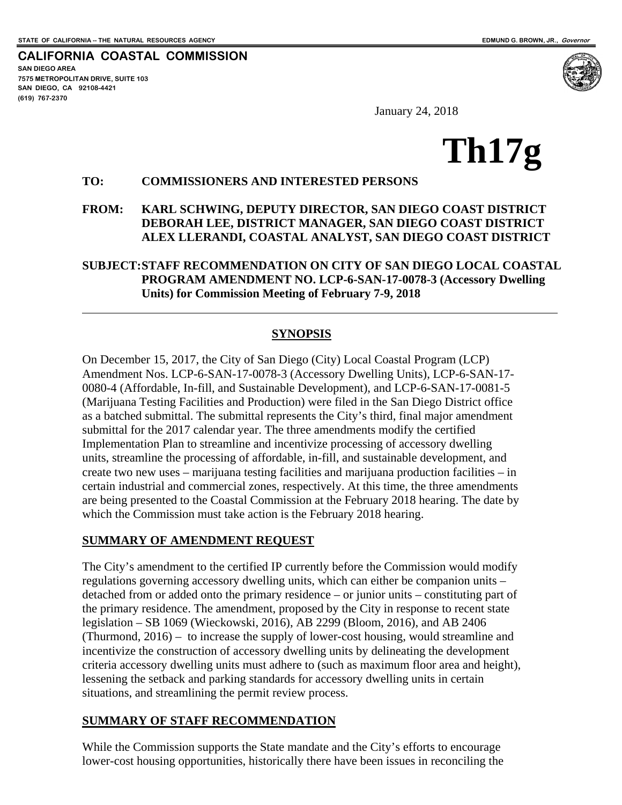**CALIFORNIA COASTAL COMMISSION SAN DIEGO AREA 7575 METROPOLITAN DRIVE, SUITE 103 SAN DIEGO, CA 92108-4421 (619) 767-2370**

 $\overline{a}$ 

January 24, 2018

# **Th17g**

#### **TO: COMMISSIONERS AND INTERESTED PERSONS**

#### **FROM: KARL SCHWING, DEPUTY DIRECTOR, SAN DIEGO COAST DISTRICT DEBORAH LEE, DISTRICT MANAGER, SAN DIEGO COAST DISTRICT ALEX LLERANDI, COASTAL ANALYST, SAN DIEGO COAST DISTRICT**

#### **SUBJECT: STAFF RECOMMENDATION ON CITY OF SAN DIEGO LOCAL COASTAL PROGRAM AMENDMENT NO. LCP-6-SAN-17-0078-3 (Accessory Dwelling Units) for Commission Meeting of February 7-9, 2018**

#### **SYNOPSIS**

On December 15, 2017, the City of San Diego (City) Local Coastal Program (LCP) Amendment Nos. LCP-6-SAN-17-0078-3 (Accessory Dwelling Units), LCP-6-SAN-17- 0080-4 (Affordable, In-fill, and Sustainable Development), and LCP-6-SAN-17-0081-5 (Marijuana Testing Facilities and Production) were filed in the San Diego District office as a batched submittal. The submittal represents the City's third, final major amendment submittal for the 2017 calendar year. The three amendments modify the certified Implementation Plan to streamline and incentivize processing of accessory dwelling units, streamline the processing of affordable, in-fill, and sustainable development, and create two new uses – marijuana testing facilities and marijuana production facilities – in certain industrial and commercial zones, respectively. At this time, the three amendments are being presented to the Coastal Commission at the February 2018 hearing. The date by which the Commission must take action is the February 2018 hearing.

#### **SUMMARY OF AMENDMENT REQUEST**

The City's amendment to the certified IP currently before the Commission would modify regulations governing accessory dwelling units, which can either be companion units – detached from or added onto the primary residence – or junior units – constituting part of the primary residence. The amendment, proposed by the City in response to recent state legislation – SB 1069 (Wieckowski, 2016), AB 2299 (Bloom, 2016), and AB 2406 (Thurmond, 2016) – to increase the supply of lower-cost housing, would streamline and incentivize the construction of accessory dwelling units by delineating the development criteria accessory dwelling units must adhere to (such as maximum floor area and height), lessening the setback and parking standards for accessory dwelling units in certain situations, and streamlining the permit review process.

#### **SUMMARY OF STAFF RECOMMENDATION**

While the Commission supports the State mandate and the City's efforts to encourage lower-cost housing opportunities, historically there have been issues in reconciling the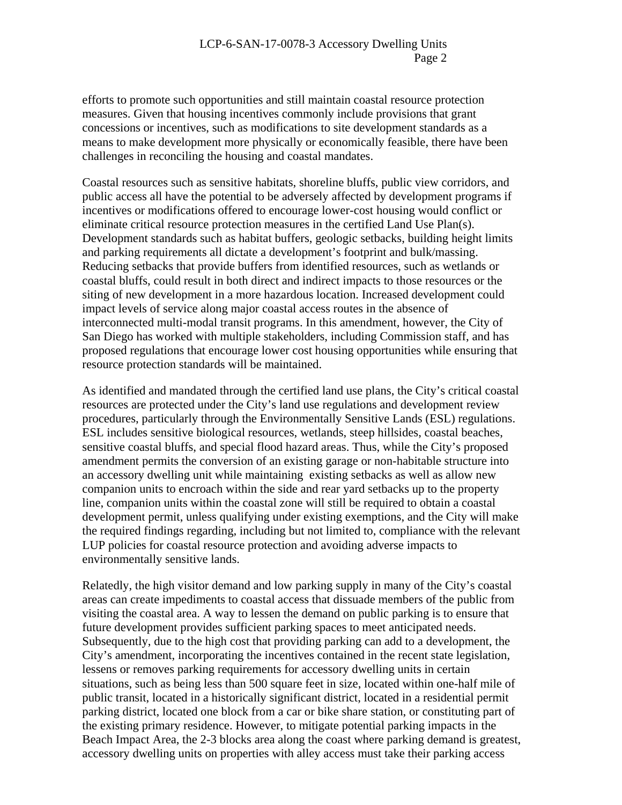efforts to promote such opportunities and still maintain coastal resource protection measures. Given that housing incentives commonly include provisions that grant concessions or incentives, such as modifications to site development standards as a means to make development more physically or economically feasible, there have been challenges in reconciling the housing and coastal mandates.

Coastal resources such as sensitive habitats, shoreline bluffs, public view corridors, and public access all have the potential to be adversely affected by development programs if incentives or modifications offered to encourage lower-cost housing would conflict or eliminate critical resource protection measures in the certified Land Use Plan(s). Development standards such as habitat buffers, geologic setbacks, building height limits and parking requirements all dictate a development's footprint and bulk/massing. Reducing setbacks that provide buffers from identified resources, such as wetlands or coastal bluffs, could result in both direct and indirect impacts to those resources or the siting of new development in a more hazardous location. Increased development could impact levels of service along major coastal access routes in the absence of interconnected multi-modal transit programs. In this amendment, however, the City of San Diego has worked with multiple stakeholders, including Commission staff, and has proposed regulations that encourage lower cost housing opportunities while ensuring that resource protection standards will be maintained.

As identified and mandated through the certified land use plans, the City's critical coastal resources are protected under the City's land use regulations and development review procedures, particularly through the Environmentally Sensitive Lands (ESL) regulations. ESL includes sensitive biological resources, wetlands, steep hillsides, coastal beaches, sensitive coastal bluffs, and special flood hazard areas. Thus, while the City's proposed amendment permits the conversion of an existing garage or non-habitable structure into an accessory dwelling unit while maintaining existing setbacks as well as allow new companion units to encroach within the side and rear yard setbacks up to the property line, companion units within the coastal zone will still be required to obtain a coastal development permit, unless qualifying under existing exemptions, and the City will make the required findings regarding, including but not limited to, compliance with the relevant LUP policies for coastal resource protection and avoiding adverse impacts to environmentally sensitive lands.

Relatedly, the high visitor demand and low parking supply in many of the City's coastal areas can create impediments to coastal access that dissuade members of the public from visiting the coastal area. A way to lessen the demand on public parking is to ensure that future development provides sufficient parking spaces to meet anticipated needs. Subsequently, due to the high cost that providing parking can add to a development, the City's amendment, incorporating the incentives contained in the recent state legislation, lessens or removes parking requirements for accessory dwelling units in certain situations, such as being less than 500 square feet in size, located within one-half mile of public transit, located in a historically significant district, located in a residential permit parking district, located one block from a car or bike share station, or constituting part of the existing primary residence. However, to mitigate potential parking impacts in the Beach Impact Area, the 2-3 blocks area along the coast where parking demand is greatest, accessory dwelling units on properties with alley access must take their parking access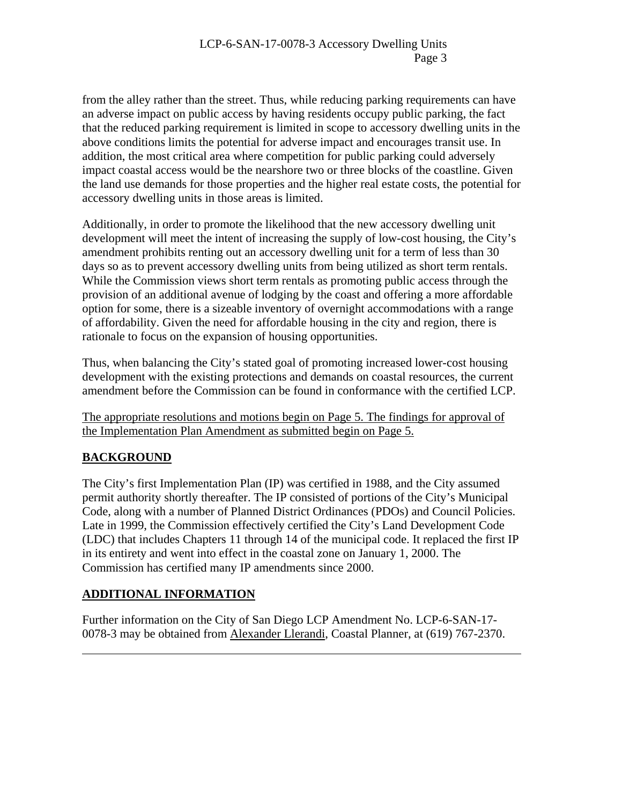from the alley rather than the street. Thus, while reducing parking requirements can have an adverse impact on public access by having residents occupy public parking, the fact that the reduced parking requirement is limited in scope to accessory dwelling units in the above conditions limits the potential for adverse impact and encourages transit use. In addition, the most critical area where competition for public parking could adversely impact coastal access would be the nearshore two or three blocks of the coastline. Given the land use demands for those properties and the higher real estate costs, the potential for accessory dwelling units in those areas is limited.

Additionally, in order to promote the likelihood that the new accessory dwelling unit development will meet the intent of increasing the supply of low-cost housing, the City's amendment prohibits renting out an accessory dwelling unit for a term of less than 30 days so as to prevent accessory dwelling units from being utilized as short term rentals. While the Commission views short term rentals as promoting public access through the provision of an additional avenue of lodging by the coast and offering a more affordable option for some, there is a sizeable inventory of overnight accommodations with a range of affordability. Given the need for affordable housing in the city and region, there is rationale to focus on the expansion of housing opportunities.

Thus, when balancing the City's stated goal of promoting increased lower-cost housing development with the existing protections and demands on coastal resources, the current amendment before the Commission can be found in conformance with the certified LCP.

The appropriate resolutions and motions begin on Page 5. The findings for approval of the Implementation Plan Amendment as submitted begin on Page 5.

# **BACKGROUND**

 $\overline{a}$ 

The City's first Implementation Plan (IP) was certified in 1988, and the City assumed permit authority shortly thereafter. The IP consisted of portions of the City's Municipal Code, along with a number of Planned District Ordinances (PDOs) and Council Policies. Late in 1999, the Commission effectively certified the City's Land Development Code (LDC) that includes Chapters 11 through 14 of the municipal code. It replaced the first IP in its entirety and went into effect in the coastal zone on January 1, 2000. The Commission has certified many IP amendments since 2000.

# **ADDITIONAL INFORMATION**

Further information on the City of San Diego LCP Amendment No. LCP-6-SAN-17- 0078-3 may be obtained from Alexander Llerandi, Coastal Planner, at (619) 767-2370.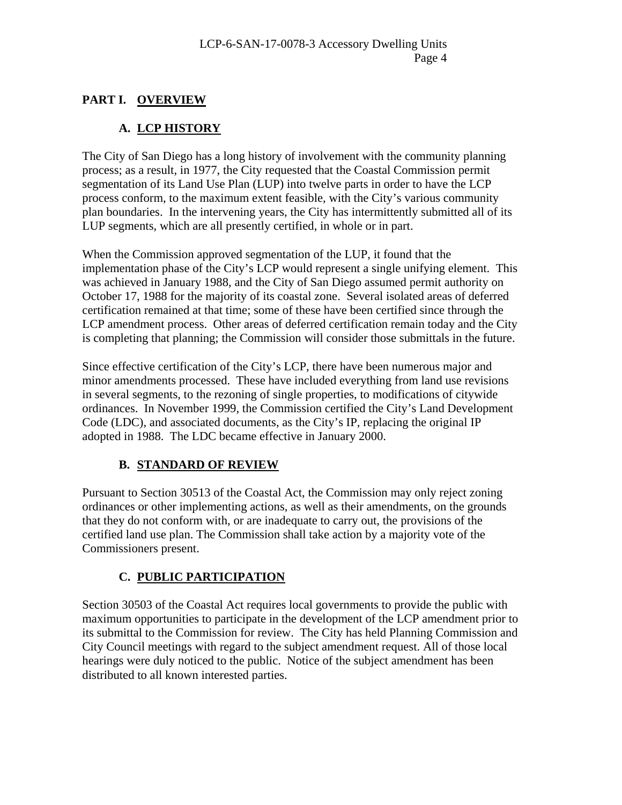# **PART I. OVERVIEW**

# **A. LCP HISTORY**

The City of San Diego has a long history of involvement with the community planning process; as a result, in 1977, the City requested that the Coastal Commission permit segmentation of its Land Use Plan (LUP) into twelve parts in order to have the LCP process conform, to the maximum extent feasible, with the City's various community plan boundaries. In the intervening years, the City has intermittently submitted all of its LUP segments, which are all presently certified, in whole or in part.

When the Commission approved segmentation of the LUP, it found that the implementation phase of the City's LCP would represent a single unifying element. This was achieved in January 1988, and the City of San Diego assumed permit authority on October 17, 1988 for the majority of its coastal zone. Several isolated areas of deferred certification remained at that time; some of these have been certified since through the LCP amendment process. Other areas of deferred certification remain today and the City is completing that planning; the Commission will consider those submittals in the future.

Since effective certification of the City's LCP, there have been numerous major and minor amendments processed. These have included everything from land use revisions in several segments, to the rezoning of single properties, to modifications of citywide ordinances. In November 1999, the Commission certified the City's Land Development Code (LDC), and associated documents, as the City's IP, replacing the original IP adopted in 1988. The LDC became effective in January 2000.

# **B. STANDARD OF REVIEW**

Pursuant to Section 30513 of the Coastal Act, the Commission may only reject zoning ordinances or other implementing actions, as well as their amendments, on the grounds that they do not conform with, or are inadequate to carry out, the provisions of the certified land use plan. The Commission shall take action by a majority vote of the Commissioners present.

# **C. PUBLIC PARTICIPATION**

Section 30503 of the Coastal Act requires local governments to provide the public with maximum opportunities to participate in the development of the LCP amendment prior to its submittal to the Commission for review. The City has held Planning Commission and City Council meetings with regard to the subject amendment request. All of those local hearings were duly noticed to the public. Notice of the subject amendment has been distributed to all known interested parties.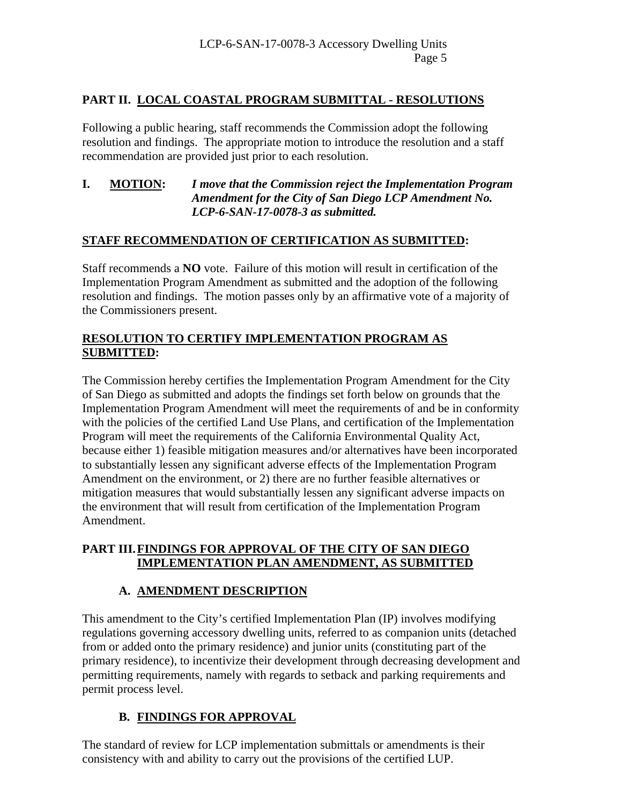# **PART II. LOCAL COASTAL PROGRAM SUBMITTAL - RESOLUTIONS**

Following a public hearing, staff recommends the Commission adopt the following resolution and findings. The appropriate motion to introduce the resolution and a staff recommendation are provided just prior to each resolution.

#### **I. MOTION:** *I move that the Commission reject the Implementation Program Amendment for the City of San Diego LCP Amendment No. LCP-6-SAN-17-0078-3 as submitted.*

#### **STAFF RECOMMENDATION OF CERTIFICATION AS SUBMITTED:**

Staff recommends a **NO** vote. Failure of this motion will result in certification of the Implementation Program Amendment as submitted and the adoption of the following resolution and findings. The motion passes only by an affirmative vote of a majority of the Commissioners present.

## **RESOLUTION TO CERTIFY IMPLEMENTATION PROGRAM AS SUBMITTED:**

The Commission hereby certifies the Implementation Program Amendment for the City of San Diego as submitted and adopts the findings set forth below on grounds that the Implementation Program Amendment will meet the requirements of and be in conformity with the policies of the certified Land Use Plans, and certification of the Implementation Program will meet the requirements of the California Environmental Quality Act, because either 1) feasible mitigation measures and/or alternatives have been incorporated to substantially lessen any significant adverse effects of the Implementation Program Amendment on the environment, or 2) there are no further feasible alternatives or mitigation measures that would substantially lessen any significant adverse impacts on the environment that will result from certification of the Implementation Program Amendment.

## **PART III. FINDINGS FOR APPROVAL OF THE CITY OF SAN DIEGO IMPLEMENTATION PLAN AMENDMENT, AS SUBMITTED**

# **A. AMENDMENT DESCRIPTION**

This amendment to the City's certified Implementation Plan (IP) involves modifying regulations governing accessory dwelling units, referred to as companion units (detached from or added onto the primary residence) and junior units (constituting part of the primary residence), to incentivize their development through decreasing development and permitting requirements, namely with regards to setback and parking requirements and permit process level.

# **B. FINDINGS FOR APPROVAL**

The standard of review for LCP implementation submittals or amendments is their consistency with and ability to carry out the provisions of the certified LUP.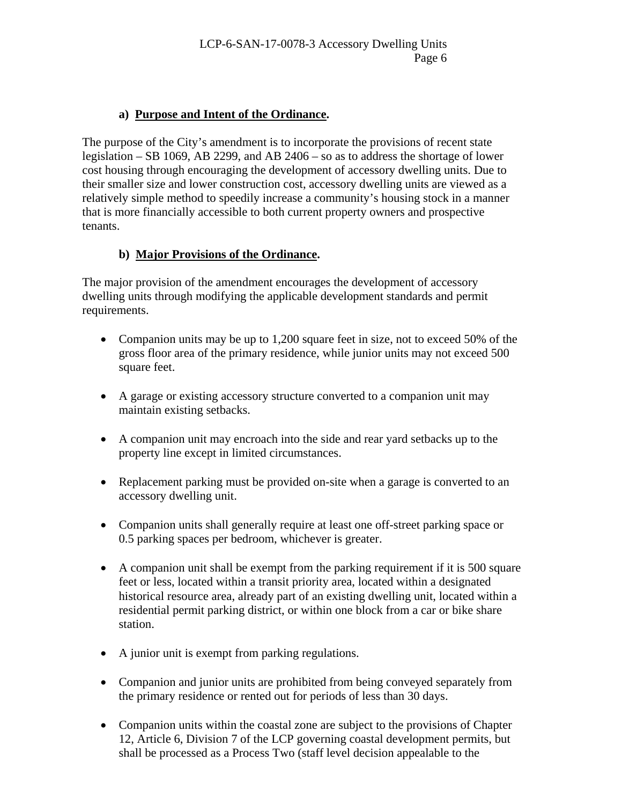## **a) Purpose and Intent of the Ordinance.**

The purpose of the City's amendment is to incorporate the provisions of recent state legislation – SB 1069, AB 2299, and AB 2406 – so as to address the shortage of lower cost housing through encouraging the development of accessory dwelling units. Due to their smaller size and lower construction cost, accessory dwelling units are viewed as a relatively simple method to speedily increase a community's housing stock in a manner that is more financially accessible to both current property owners and prospective tenants.

## **b) Major Provisions of the Ordinance.**

The major provision of the amendment encourages the development of accessory dwelling units through modifying the applicable development standards and permit requirements.

- Companion units may be up to 1,200 square feet in size, not to exceed 50% of the gross floor area of the primary residence, while junior units may not exceed 500 square feet.
- A garage or existing accessory structure converted to a companion unit may maintain existing setbacks.
- A companion unit may encroach into the side and rear yard setbacks up to the property line except in limited circumstances.
- Replacement parking must be provided on-site when a garage is converted to an accessory dwelling unit.
- Companion units shall generally require at least one off-street parking space or 0.5 parking spaces per bedroom, whichever is greater.
- A companion unit shall be exempt from the parking requirement if it is 500 square feet or less, located within a transit priority area, located within a designated historical resource area, already part of an existing dwelling unit, located within a residential permit parking district, or within one block from a car or bike share station.
- A junior unit is exempt from parking regulations.
- Companion and junior units are prohibited from being conveyed separately from the primary residence or rented out for periods of less than 30 days.
- Companion units within the coastal zone are subject to the provisions of Chapter 12, Article 6, Division 7 of the LCP governing coastal development permits, but shall be processed as a Process Two (staff level decision appealable to the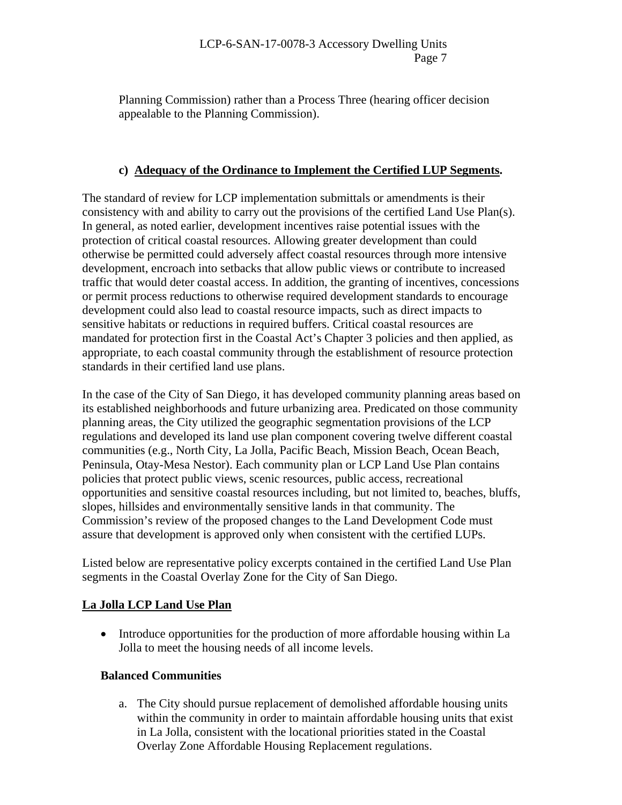#### LCP-6-SAN-17-0078-3 Accessory Dwelling Units Page 7

Planning Commission) rather than a Process Three (hearing officer decision appealable to the Planning Commission).

## **c) Adequacy of the Ordinance to Implement the Certified LUP Segments.**

The standard of review for LCP implementation submittals or amendments is their consistency with and ability to carry out the provisions of the certified Land Use Plan(s). In general, as noted earlier, development incentives raise potential issues with the protection of critical coastal resources. Allowing greater development than could otherwise be permitted could adversely affect coastal resources through more intensive development, encroach into setbacks that allow public views or contribute to increased traffic that would deter coastal access. In addition, the granting of incentives, concessions or permit process reductions to otherwise required development standards to encourage development could also lead to coastal resource impacts, such as direct impacts to sensitive habitats or reductions in required buffers. Critical coastal resources are mandated for protection first in the Coastal Act's Chapter 3 policies and then applied, as appropriate, to each coastal community through the establishment of resource protection standards in their certified land use plans.

In the case of the City of San Diego, it has developed community planning areas based on its established neighborhoods and future urbanizing area. Predicated on those community planning areas, the City utilized the geographic segmentation provisions of the LCP regulations and developed its land use plan component covering twelve different coastal communities (e.g., North City, La Jolla, Pacific Beach, Mission Beach, Ocean Beach, Peninsula, Otay-Mesa Nestor). Each community plan or LCP Land Use Plan contains policies that protect public views, scenic resources, public access, recreational opportunities and sensitive coastal resources including, but not limited to, beaches, bluffs, slopes, hillsides and environmentally sensitive lands in that community. The Commission's review of the proposed changes to the Land Development Code must assure that development is approved only when consistent with the certified LUPs.

Listed below are representative policy excerpts contained in the certified Land Use Plan segments in the Coastal Overlay Zone for the City of San Diego.

# **La Jolla LCP Land Use Plan**

• Introduce opportunities for the production of more affordable housing within La Jolla to meet the housing needs of all income levels.

#### **Balanced Communities**

a. The City should pursue replacement of demolished affordable housing units within the community in order to maintain affordable housing units that exist in La Jolla, consistent with the locational priorities stated in the Coastal Overlay Zone Affordable Housing Replacement regulations.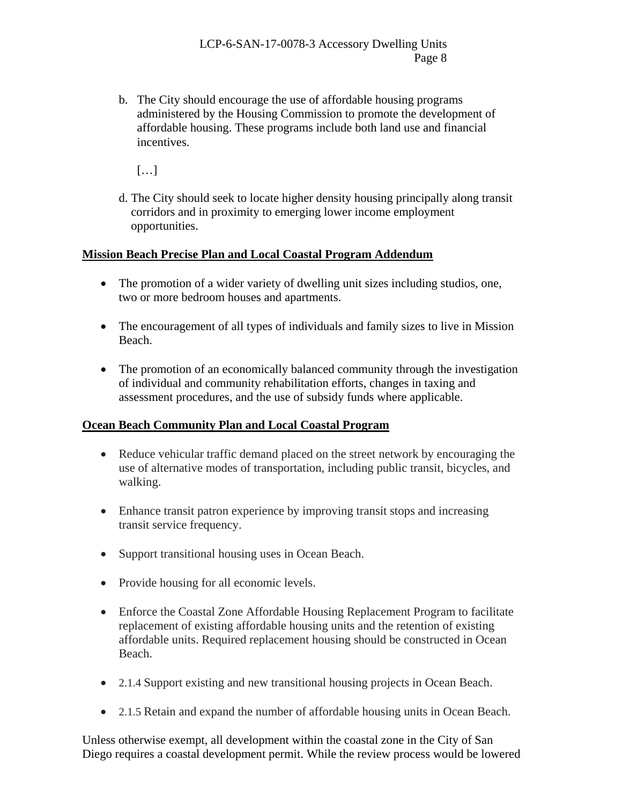b. The City should encourage the use of affordable housing programs administered by the Housing Commission to promote the development of affordable housing. These programs include both land use and financial incentives.

[…]

d. The City should seek to locate higher density housing principally along transit corridors and in proximity to emerging lower income employment opportunities.

## **Mission Beach Precise Plan and Local Coastal Program Addendum**

- The promotion of a wider variety of dwelling unit sizes including studios, one, two or more bedroom houses and apartments.
- The encouragement of all types of individuals and family sizes to live in Mission Beach.
- The promotion of an economically balanced community through the investigation of individual and community rehabilitation efforts, changes in taxing and assessment procedures, and the use of subsidy funds where applicable.

# **Ocean Beach Community Plan and Local Coastal Program**

- Reduce vehicular traffic demand placed on the street network by encouraging the use of alternative modes of transportation, including public transit, bicycles, and walking.
- Enhance transit patron experience by improving transit stops and increasing transit service frequency.
- Support transitional housing uses in Ocean Beach.
- Provide housing for all economic levels.
- Enforce the Coastal Zone Affordable Housing Replacement Program to facilitate replacement of existing affordable housing units and the retention of existing affordable units. Required replacement housing should be constructed in Ocean Beach.
- 2.1.4 Support existing and new transitional housing projects in Ocean Beach.
- 2.1.5 Retain and expand the number of affordable housing units in Ocean Beach.

Unless otherwise exempt, all development within the coastal zone in the City of San Diego requires a coastal development permit. While the review process would be lowered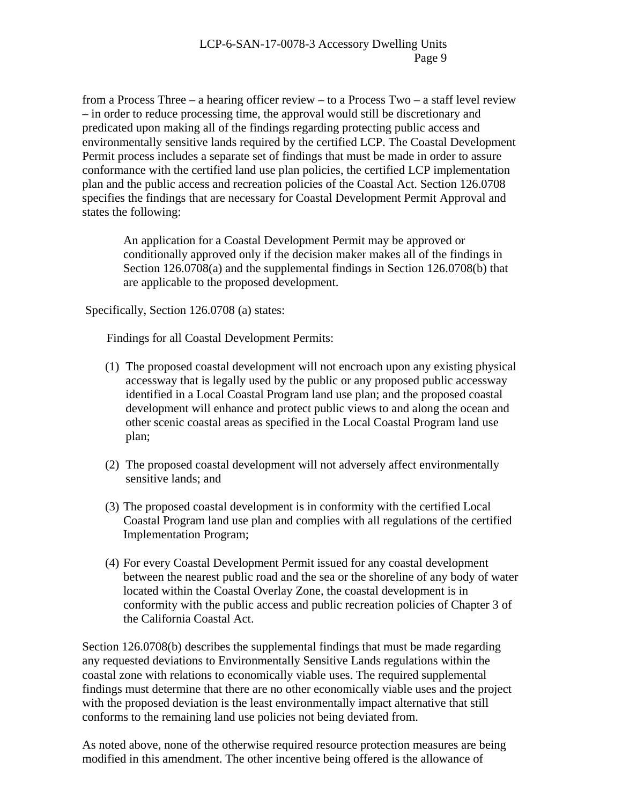from a Process Three – a hearing officer review – to a Process Two – a staff level review – in order to reduce processing time, the approval would still be discretionary and predicated upon making all of the findings regarding protecting public access and environmentally sensitive lands required by the certified LCP. The Coastal Development Permit process includes a separate set of findings that must be made in order to assure conformance with the certified land use plan policies, the certified LCP implementation plan and the public access and recreation policies of the Coastal Act. Section 126.0708 specifies the findings that are necessary for Coastal Development Permit Approval and states the following:

An application for a Coastal Development Permit may be approved or conditionally approved only if the decision maker makes all of the findings in Section 126.0708(a) and the supplemental findings in Section 126.0708(b) that are applicable to the proposed development.

Specifically, Section 126.0708 (a) states:

Findings for all Coastal Development Permits:

- (1) The proposed coastal development will not encroach upon any existing physical accessway that is legally used by the public or any proposed public accessway identified in a Local Coastal Program land use plan; and the proposed coastal development will enhance and protect public views to and along the ocean and other scenic coastal areas as specified in the Local Coastal Program land use plan;
- (2) The proposed coastal development will not adversely affect environmentally sensitive lands; and
- (3) The proposed coastal development is in conformity with the certified Local Coastal Program land use plan and complies with all regulations of the certified Implementation Program;
- (4) For every Coastal Development Permit issued for any coastal development between the nearest public road and the sea or the shoreline of any body of water located within the Coastal Overlay Zone, the coastal development is in conformity with the public access and public recreation policies of Chapter 3 of the California Coastal Act.

Section 126.0708(b) describes the supplemental findings that must be made regarding any requested deviations to Environmentally Sensitive Lands regulations within the coastal zone with relations to economically viable uses. The required supplemental findings must determine that there are no other economically viable uses and the project with the proposed deviation is the least environmentally impact alternative that still conforms to the remaining land use policies not being deviated from.

As noted above, none of the otherwise required resource protection measures are being modified in this amendment. The other incentive being offered is the allowance of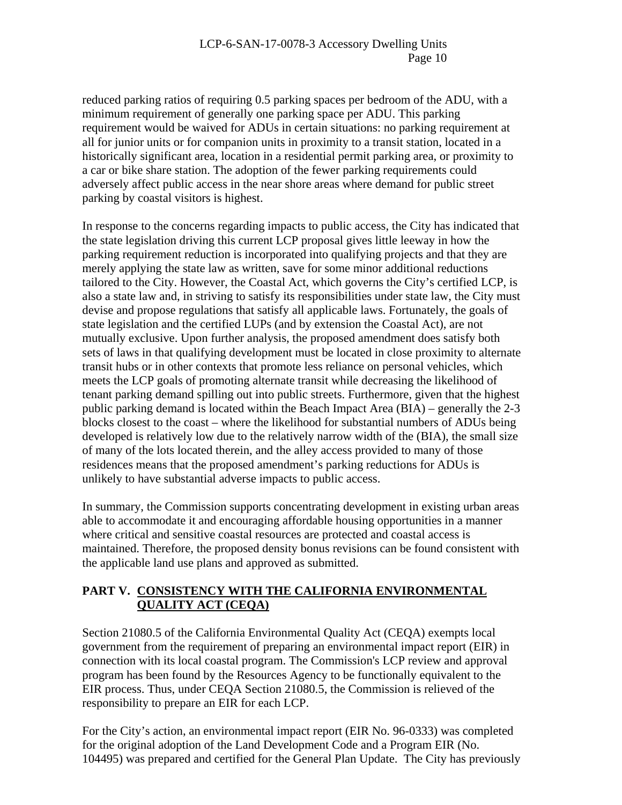reduced parking ratios of requiring 0.5 parking spaces per bedroom of the ADU, with a minimum requirement of generally one parking space per ADU. This parking requirement would be waived for ADUs in certain situations: no parking requirement at all for junior units or for companion units in proximity to a transit station, located in a historically significant area, location in a residential permit parking area, or proximity to a car or bike share station. The adoption of the fewer parking requirements could adversely affect public access in the near shore areas where demand for public street parking by coastal visitors is highest.

In response to the concerns regarding impacts to public access, the City has indicated that the state legislation driving this current LCP proposal gives little leeway in how the parking requirement reduction is incorporated into qualifying projects and that they are merely applying the state law as written, save for some minor additional reductions tailored to the City. However, the Coastal Act, which governs the City's certified LCP, is also a state law and, in striving to satisfy its responsibilities under state law, the City must devise and propose regulations that satisfy all applicable laws. Fortunately, the goals of state legislation and the certified LUPs (and by extension the Coastal Act), are not mutually exclusive. Upon further analysis, the proposed amendment does satisfy both sets of laws in that qualifying development must be located in close proximity to alternate transit hubs or in other contexts that promote less reliance on personal vehicles, which meets the LCP goals of promoting alternate transit while decreasing the likelihood of tenant parking demand spilling out into public streets. Furthermore, given that the highest public parking demand is located within the Beach Impact Area (BIA) – generally the 2-3 blocks closest to the coast – where the likelihood for substantial numbers of ADUs being developed is relatively low due to the relatively narrow width of the (BIA), the small size of many of the lots located therein, and the alley access provided to many of those residences means that the proposed amendment's parking reductions for ADUs is unlikely to have substantial adverse impacts to public access.

In summary, the Commission supports concentrating development in existing urban areas able to accommodate it and encouraging affordable housing opportunities in a manner where critical and sensitive coastal resources are protected and coastal access is maintained. Therefore, the proposed density bonus revisions can be found consistent with the applicable land use plans and approved as submitted.

## **PART V. CONSISTENCY WITH THE CALIFORNIA ENVIRONMENTAL QUALITY ACT (CEQA)**

Section 21080.5 of the California Environmental Quality Act (CEQA) exempts local government from the requirement of preparing an environmental impact report (EIR) in connection with its local coastal program. The Commission's LCP review and approval program has been found by the Resources Agency to be functionally equivalent to the EIR process. Thus, under CEQA Section 21080.5, the Commission is relieved of the responsibility to prepare an EIR for each LCP.

For the City's action, an environmental impact report (EIR No. 96-0333) was completed for the original adoption of the Land Development Code and a Program EIR (No. 104495) was prepared and certified for the General Plan Update. The City has previously